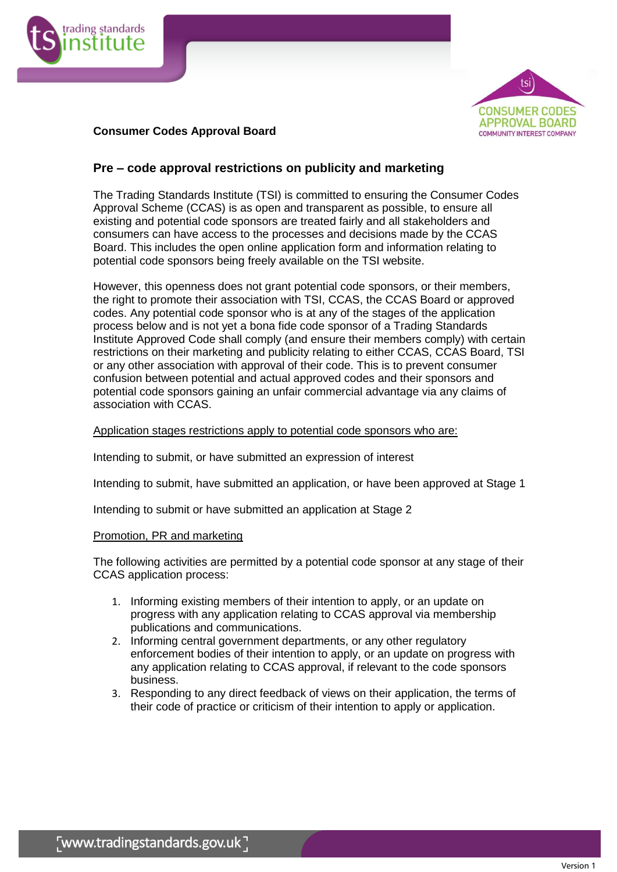



## **Consumer Codes Approval Board**

# **Pre – code approval restrictions on publicity and marketing**

The Trading Standards Institute (TSI) is committed to ensuring the Consumer Codes Approval Scheme (CCAS) is as open and transparent as possible, to ensure all existing and potential code sponsors are treated fairly and all stakeholders and consumers can have access to the processes and decisions made by the CCAS Board. This includes the open online application form and information relating to potential code sponsors being freely available on the TSI website.

However, this openness does not grant potential code sponsors, or their members, the right to promote their association with TSI, CCAS, the CCAS Board or approved codes. Any potential code sponsor who is at any of the stages of the application process below and is not yet a bona fide code sponsor of a Trading Standards Institute Approved Code shall comply (and ensure their members comply) with certain restrictions on their marketing and publicity relating to either CCAS, CCAS Board, TSI or any other association with approval of their code. This is to prevent consumer confusion between potential and actual approved codes and their sponsors and potential code sponsors gaining an unfair commercial advantage via any claims of association with CCAS.

### Application stages restrictions apply to potential code sponsors who are:

Intending to submit, or have submitted an expression of interest

Intending to submit, have submitted an application, or have been approved at Stage 1

Intending to submit or have submitted an application at Stage 2

### Promotion, PR and marketing

The following activities are permitted by a potential code sponsor at any stage of their CCAS application process:

- 1. Informing existing members of their intention to apply, or an update on progress with any application relating to CCAS approval via membership publications and communications.
- 2. Informing central government departments, or any other regulatory enforcement bodies of their intention to apply, or an update on progress with any application relating to CCAS approval, if relevant to the code sponsors business.
- 3. Responding to any direct feedback of views on their application, the terms of their code of practice or criticism of their intention to apply or application.